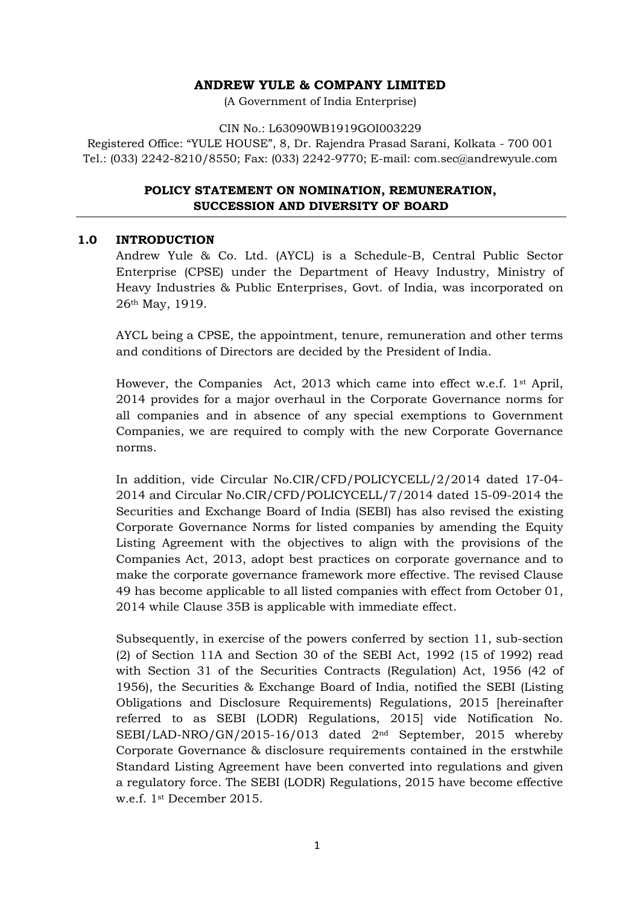# **ANDREW YULE & COMPANY LIMITED**

(A Government of India Enterprise)

#### CIN No.: L63090WB1919GOI003229

Registered Office: "YULE HOUSE", 8, Dr. Rajendra Prasad Sarani, Kolkata - 700 001 Tel.: (033) 2242-8210/8550; Fax: (033) 2242-9770; E-mail: com.sec@andrewyule.com

# **POLICY STATEMENT ON NOMINATION, REMUNERATION, SUCCESSION AND DIVERSITY OF BOARD**

### **1.0 INTRODUCTION**

Andrew Yule & Co. Ltd. (AYCL) is a Schedule-B, Central Public Sector Enterprise (CPSE) under the Department of Heavy Industry, Ministry of Heavy Industries & Public Enterprises, Govt. of India, was incorporated on 26th May, 1919.

AYCL being a CPSE, the appointment, tenure, remuneration and other terms and conditions of Directors are decided by the President of India.

However, the Companies Act, 2013 which came into effect w.e.f. 1st April, 2014 provides for a major overhaul in the Corporate Governance norms for all companies and in absence of any special exemptions to Government Companies, we are required to comply with the new Corporate Governance norms.

In addition, vide Circular No.CIR/CFD/POLICYCELL/2/2014 dated 17-04- 2014 and Circular No.CIR/CFD/POLICYCELL/7/2014 dated 15-09-2014 the Securities and Exchange Board of India (SEBI) has also revised the existing Corporate Governance Norms for listed companies by amending the Equity Listing Agreement with the objectives to align with the provisions of the Companies Act, 2013, adopt best practices on corporate governance and to make the corporate governance framework more effective. The revised Clause 49 has become applicable to all listed companies with effect from October 01, 2014 while Clause 35B is applicable with immediate effect.

Subsequently, in exercise of the powers conferred by section 11, sub-section (2) of Section 11A and Section 30 of the SEBI Act, 1992 (15 of 1992) read with Section 31 of the Securities Contracts (Regulation) Act, 1956 (42 of 1956), the Securities & Exchange Board of India, notified the SEBI (Listing Obligations and Disclosure Requirements) Regulations, 2015 [hereinafter referred to as SEBI (LODR) Regulations, 2015] vide Notification No. SEBI/LAD-NRO/GN/2015-16/013 dated 2nd September, 2015 whereby Corporate Governance & disclosure requirements contained in the erstwhile Standard Listing Agreement have been converted into regulations and given a regulatory force. The SEBI (LODR) Regulations, 2015 have become effective w.e.f. 1st December 2015.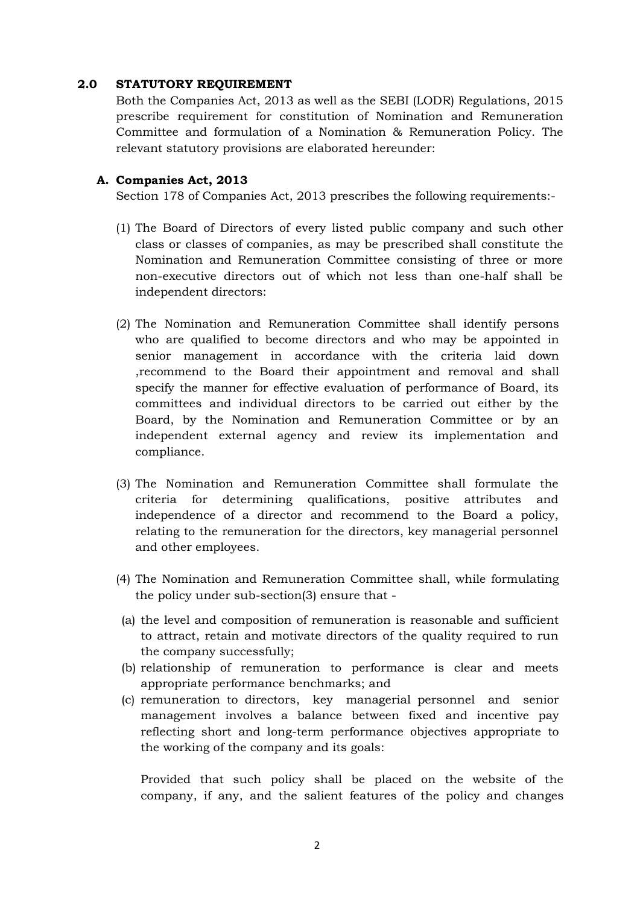#### **2.0 STATUTORY REQUIREMENT**

Both the Companies Act, 2013 as well as the SEBI (LODR) Regulations, 2015 prescribe requirement for constitution of Nomination and Remuneration Committee and formulation of a Nomination & Remuneration Policy. The relevant statutory provisions are elaborated hereunder:

#### **A. Companies Act, 2013**

Section 178 of Companies Act, 2013 prescribes the following requirements:-

- (1) The Board of Directors of every listed public company and such other class or classes of companies, as may be prescribed shall constitute the Nomination and Remuneration Committee consisting of three or more non-executive directors out of which not less than one-half shall be independent directors:
- (2) The Nomination and Remuneration Committee shall identify persons who are qualified to become directors and who may be appointed in senior management in accordance with the criteria laid down ,recommend to the Board their appointment and removal and shall specify the manner for effective evaluation of performance of Board, its committees and individual directors to be carried out either by the Board, by the Nomination and Remuneration Committee or by an independent external agency and review its implementation and compliance.
- (3) The Nomination and Remuneration Committee shall formulate the criteria for determining qualifications, positive attributes and independence of a director and recommend to the Board a policy, relating to the remuneration for the directors, key managerial personnel and other employees.
- (4) The Nomination and Remuneration Committee shall, while formulating the policy under sub-section(3) ensure that -
- (a) the level and composition of remuneration is reasonable and sufficient to attract, retain and motivate directors of the quality required to run the company successfully;
- (b) relationship of remuneration to performance is clear and meets appropriate performance benchmarks; and
- (c) remuneration to directors, key managerial personnel and senior management involves a balance between fixed and incentive pay reflecting short and long-term performance objectives appropriate to the working of the company and its goals:

Provided that such policy shall be placed on the website of the company, if any, and the salient features of the policy and changes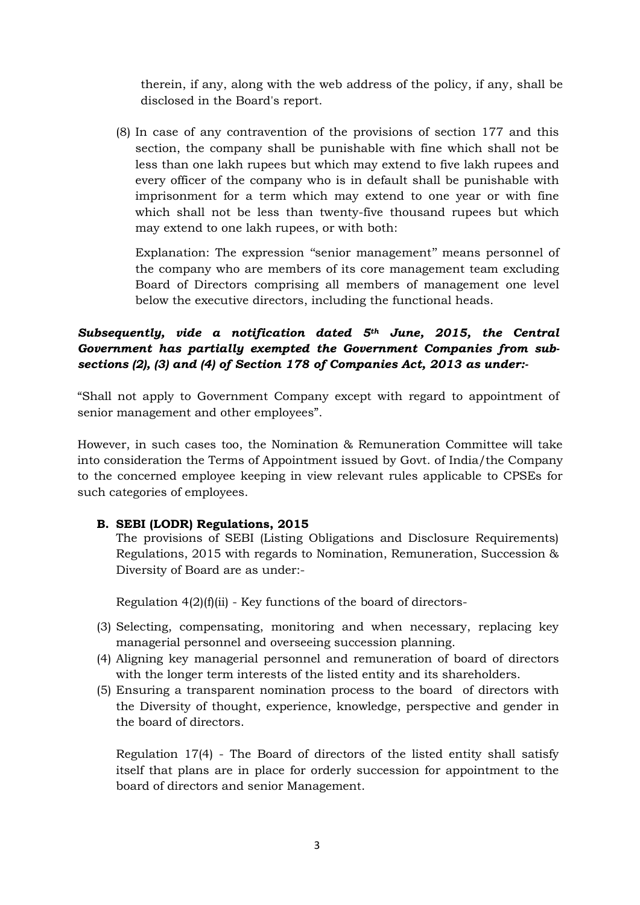therein, if any, along with the web address of the policy, if any, shall be disclosed in the Board's report.

(8) In case of any contravention of the provisions of section 177 and this section, the company shall be punishable with fine which shall not be less than one lakh rupees but which may extend to five lakh rupees and every officer of the company who is in default shall be punishable with imprisonment for a term which may extend to one year or with fine which shall not be less than twenty-five thousand rupees but which may extend to one lakh rupees, or with both:

Explanation: The expression "senior management" means personnel of the company who are members of its core management team excluding Board of Directors comprising all members of management one level below the executive directors, including the functional heads.

# *Subsequently, vide a notification dated 5th June, 2015, the Central Government has partially exempted the Government Companies from sub sections (2), (3) and (4) of Section 178 of Companies Act, 2013 as under:-*

"Shall not apply to Government Company except with regard to appointment of senior management and other employees".

However, in such cases too, the Nomination & Remuneration Committee will take into consideration the Terms of Appointment issued by Govt. of India/the Company to the concerned employee keeping in view relevant rules applicable to CPSEs for such categories of employees.

### **B. SEBI (LODR) Regulations, 2015**

The provisions of SEBI (Listing Obligations and Disclosure Requirements) Regulations, 2015 with regards to Nomination, Remuneration, Succession & Diversity of Board are as under:-

Regulation  $4(2)(f)(ii)$  - Key functions of the board of directors-

- (3) Selecting, compensating, monitoring and when necessary, replacing key managerial personnel and overseeing succession planning.
- (4) Aligning key managerial personnel and remuneration of board of directors with the longer term interests of the listed entity and its shareholders.
- (5) Ensuring a transparent nomination process to the board of directors with the Diversity of thought, experience, knowledge, perspective and gender in the board of directors.

Regulation 17(4) - The Board of directors of the listed entity shall satisfy itself that plans are in place for orderly succession for appointment to the board of directors and senior Management.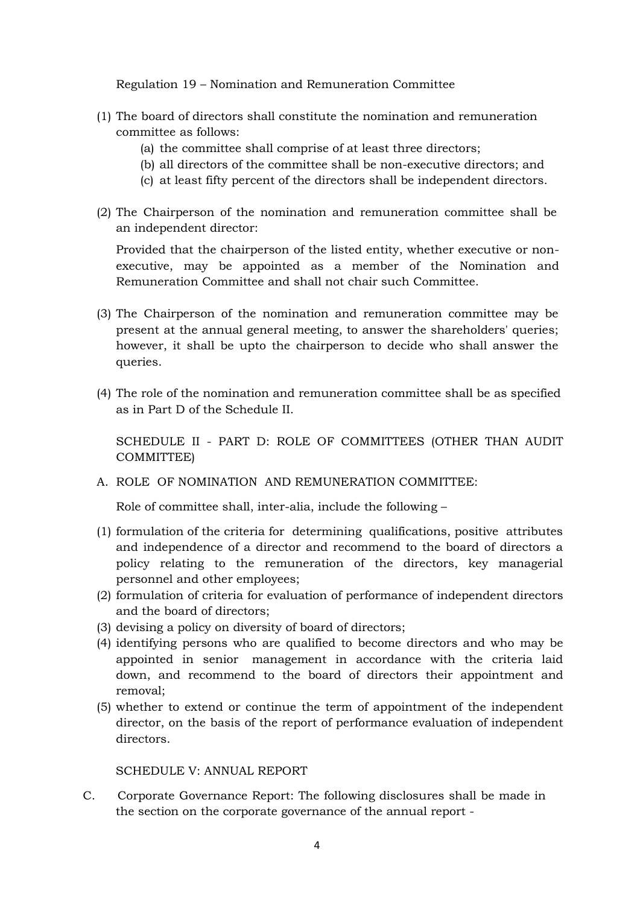Regulation 19 – Nomination and Remuneration Committee

- (1) The board of directors shall constitute the nomination and remuneration committee as follows:
	- (a) the committee shall comprise of at least three directors;
	- (b) all directors of the committee shall be non-executive directors; and
	- (c) at least fifty percent of the directors shall be independent directors.
- (2) The Chairperson of the nomination and remuneration committee shall be an independent director:

Provided that the chairperson of the listed entity, whether executive or non executive, may be appointed as a member of the Nomination and Remuneration Committee and shall not chair such Committee.

- (3) The Chairperson of the nomination and remuneration committee may be present at the annual general meeting, to answer the shareholders' queries; however, it shall be upto the chairperson to decide who shall answer the queries.
- (4) The role of the nomination and remuneration committee shall be as specified as in Part D of the Schedule II.

SCHEDULE II - PART D: ROLE OF COMMITTEES (OTHER THAN AUDIT COMMITTEE)

A. ROLE OF NOMINATION AND REMUNERATION COMMITTEE:

Role of committee shall, inter-alia, include the following –

- (1) formulation of the criteria for determining qualifications, positive attributes and independence of a director and recommend to the board of directors a policy relating to the remuneration of the directors, key managerial personnel and other employees;
- (2) formulation of criteria for evaluation of performance of independent directors and the board of directors;
- (3) devising a policy on diversity of board of directors;
- (4) identifying persons who are qualified to become directors and who may be appointed in senior management in accordance with the criteria laid down, and recommend to the board of directors their appointment and removal;
- (5) whether to extend or continue the term of appointment of the independent director, on the basis of the report of performance evaluation of independent directors.

SCHEDULE V: ANNUAL REPORT

C. Corporate Governance Report: The following disclosures shall be made in the section on the corporate governance of the annual report -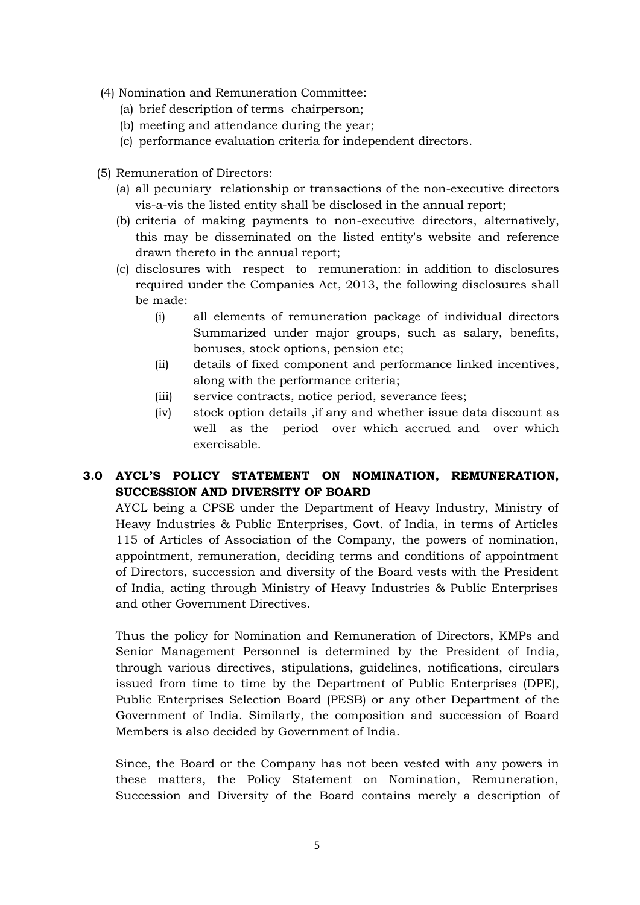- (4) Nomination and Remuneration Committee:
	- (a) brief description of terms chairperson;
	- (b) meeting and attendance during the year;
	- (c) performance evaluation criteria for independent directors.
- (5) Remuneration of Directors:
	- (a) all pecuniary relationship or transactions of the non-executive directors vis-a-vis the listed entity shall be disclosed in the annual report;
	- (b) criteria of making payments to non-executive directors, alternatively, this may be disseminated on the listed entity's website and reference drawn thereto in the annual report;
	- (c) disclosures with respect to remuneration: in addition to disclosures required under the Companies Act, 2013, the following disclosures shall be made:
		- (i) all elements of remuneration package of individual directors Summarized under major groups, such as salary, benefits, bonuses, stock options, pension etc;
		- (ii) details of fixed component and performance linked incentives, along with the performance criteria;
		- (iii) service contracts, notice period, severance fees;
		- (iv) stock option details ,if any and whether issue data discount as well as the period over which accrued and over which exercisable.

# **3.0 AYCL'S POLICY STATEMENT ON NOMINATION, REMUNERATION, SUCCESSION AND DIVERSITY OF BOARD**

AYCL being a CPSE under the Department of Heavy Industry, Ministry of Heavy Industries & Public Enterprises, Govt. of India, in terms of Articles 115 of Articles of Association of the Company, the powers of nomination, appointment, remuneration, deciding terms and conditions of appointment of Directors, succession and diversity of the Board vests with the President of India, acting through Ministry of Heavy Industries & Public Enterprises and other Government Directives.

Thus the policy for Nomination and Remuneration of Directors, KMPs and Senior Management Personnel is determined by the President of India, through various directives, stipulations, guidelines, notifications, circulars issued from time to time by the Department of Public Enterprises (DPE), Public Enterprises Selection Board (PESB) or any other Department of the Government of India. Similarly, the composition and succession of Board Members is also decided by Government of India.

Since, the Board or the Company has not been vested with any powers in these matters, the Policy Statement on Nomination, Remuneration, Succession and Diversity of the Board contains merely a description of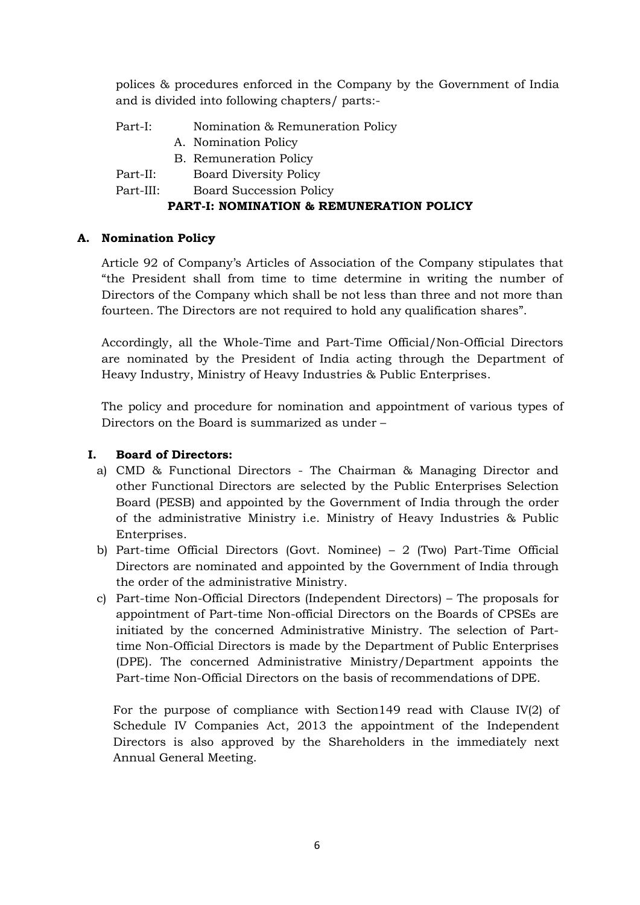polices & procedures enforced in the Company by the Government of India and is divided into following chapters/ parts:-

- Part-I: Nomination & Remuneration Policy
	- A. Nomination Policy
	- B. Remuneration Policy
- Part-II: Board Diversity Policy
- Part-III: Board Succession Policy

# **PART-I: NOMINATION & REMUNERATION POLICY**

# **A. Nomination Policy**

Article 92 of Company's Articles of Association of the Company stipulates that "the President shall from time to time determine in writing the number of Directors of the Company which shall be not less than three and not more than fourteen. The Directors are not required to hold any qualification shares".

Accordingly, all the Whole-Time and Part-Time Official/Non-Official Directors are nominated by the President of India acting through the Department of Heavy Industry, Ministry of Heavy Industries & Public Enterprises.

The policy and procedure for nomination and appointment of various types of Directors on the Board is summarized as under –

# **I. Board of Directors:**

- a) CMD & Functional Directors The Chairman & Managing Director and other Functional Directors are selected by the Public Enterprises Selection Board (PESB) and appointed by the Government of India through the order of the administrative Ministry i.e. Ministry of Heavy Industries & Public Enterprises.
- b) Part-time Official Directors (Govt. Nominee) 2 (Two) Part-Time Official Directors are nominated and appointed by the Government of India through the order of the administrative Ministry.
- c) Part-time Non-Official Directors (Independent Directors) The proposals for appointment of Part-time Non-official Directors on the Boards of CPSEs are initiated by the concerned Administrative Ministry. The selection of Parttime Non-Official Directors is made by the Department of Public Enterprises (DPE). The concerned Administrative Ministry/Department appoints the Part-time Non-Official Directors on the basis of recommendations of DPE.

For the purpose of compliance with Section149 read with Clause IV(2) of Schedule IV Companies Act, 2013 the appointment of the Independent Directors is also approved by the Shareholders in the immediately next Annual General Meeting.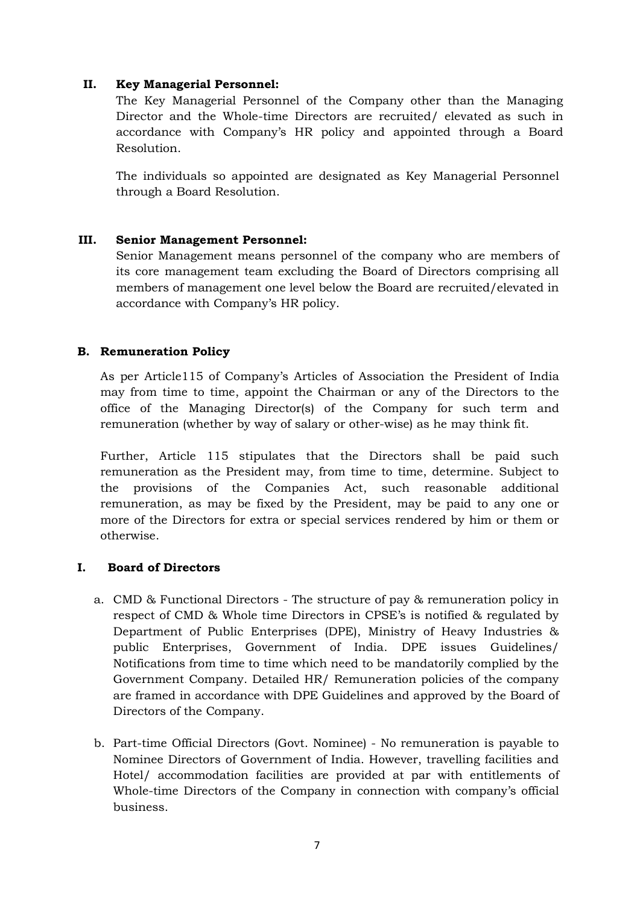### **II. Key Managerial Personnel:**

The Key Managerial Personnel of the Company other than the Managing Director and the Whole-time Directors are recruited/ elevated as such in accordance with Company's HR policy and appointed through a Board Resolution.

The individuals so appointed are designated as Key Managerial Personnel through a Board Resolution.

### **III. Senior Management Personnel:**

Senior Management means personnel of the company who are members of its core management team excluding the Board of Directors comprising all members of management one level below the Board are recruited/elevated in accordance with Company's HR policy.

### **B. Remuneration Policy**

As per Article115 of Company's Articles of Association the President of India may from time to time, appoint the Chairman or any of the Directors to the office of the Managing Director(s) of the Company for such term and remuneration (whether by way of salary or other-wise) as he may think fit.

Further, Article 115 stipulates that the Directors shall be paid such remuneration as the President may, from time to time, determine. Subject to the provisions of the Companies Act, such reasonable additional remuneration, as may be fixed by the President, may be paid to any one or more of the Directors for extra or special services rendered by him or them or otherwise.

### **I. Board of Directors**

- a. CMD & Functional Directors The structure of pay & remuneration policy in respect of CMD & Whole time Directors in CPSE's is notified & regulated by Department of Public Enterprises (DPE), Ministry of Heavy Industries & public Enterprises, Government of India. DPE issues Guidelines/ Notifications from time to time which need to be mandatorily complied by the Government Company. Detailed HR/ Remuneration policies of the company are framed in accordance with DPE Guidelines and approved by the Board of Directors of the Company.
- b. Part-time Official Directors (Govt. Nominee) No remuneration is payable to Nominee Directors of Government of India. However, travelling facilities and Hotel/ accommodation facilities are provided at par with entitlements of Whole-time Directors of the Company in connection with company's official business.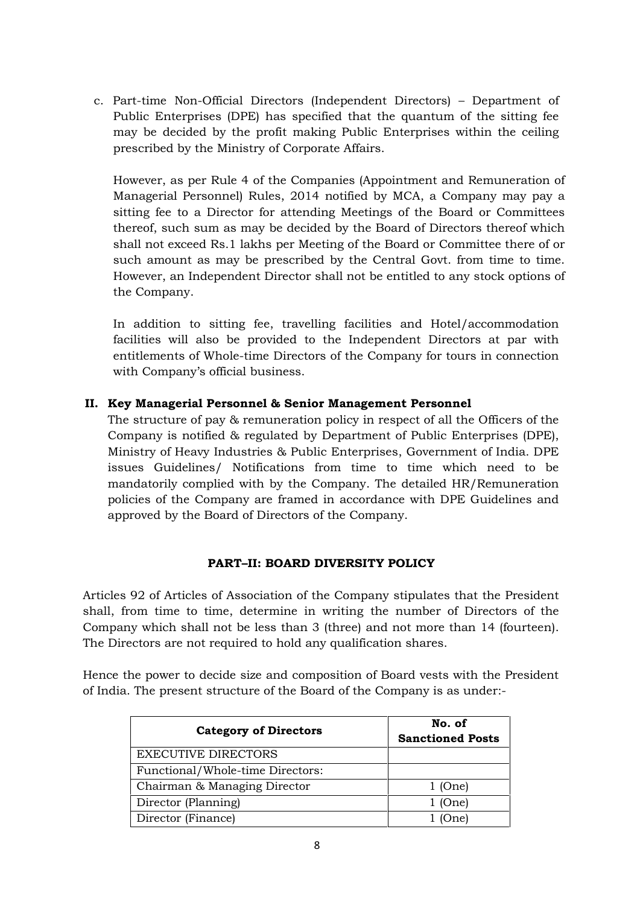c. Part-time Non-Official Directors (Independent Directors) – Department of Public Enterprises (DPE) has specified that the quantum of the sitting fee may be decided by the profit making Public Enterprises within the ceiling prescribed by the Ministry of Corporate Affairs.

However, as per Rule 4 of the Companies (Appointment and Remuneration of Managerial Personnel) Rules, 2014 notified by MCA, a Company may pay a sitting fee to a Director for attending Meetings of the Board or Committees thereof, such sum as may be decided by the Board of Directors thereof which shall not exceed Rs.1 lakhs per Meeting of the Board or Committee there of or such amount as may be prescribed by the Central Govt. from time to time. However, an Independent Director shall not be entitled to any stock options of the Company.

In addition to sitting fee, travelling facilities and Hotel/accommodation facilities will also be provided to the Independent Directors at par with entitlements of Whole-time Directors of the Company for tours in connection with Company's official business.

# **II. Key Managerial Personnel & Senior Management Personnel**

The structure of pay & remuneration policy in respect of all the Officers of the Company is notified & regulated by Department of Public Enterprises (DPE), Ministry of Heavy Industries & Public Enterprises, Government of India. DPE issues Guidelines/ Notifications from time to time which need to be mandatorily complied with by the Company. The detailed HR/Remuneration policies of the Company are framed in accordance with DPE Guidelines and approved by the Board of Directors of the Company.

# **PART–II: BOARD DIVERSITY POLICY**

Articles 92 of Articles of Association of the Company stipulates that the President shall, from time to time, determine in writing the number of Directors of the Company which shall not be less than 3 (three) and not more than 14 (fourteen). The Directors are not required to hold any qualification shares.

Hence the power to decide size and composition of Board vests with the President of India. The present structure of the Board of the Company is as under:-

| <b>Category of Directors</b>     | No. of<br><b>Sanctioned Posts</b> |
|----------------------------------|-----------------------------------|
| <b>EXECUTIVE DIRECTORS</b>       |                                   |
| Functional/Whole-time Directors: |                                   |
| Chairman & Managing Director     | $1$ (One)                         |
| Director (Planning)              | $1$ (One)                         |
| Director (Finance)               | )ne)                              |